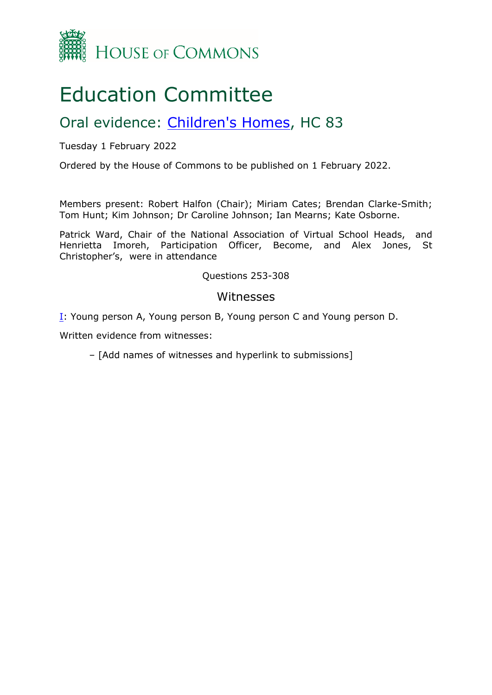

# Education Committee

## Oral evidence: [Children's](https://committees.parliament.uk/work/1111/childrens-homes/) [Homes](https://committees.parliament.uk/work/1111/childrens-homes/), HC 83

Tuesday 1 February 2022

Ordered by the House of Commons to be published on 1 February 2022.

Members present: Robert Halfon (Chair); Miriam Cates; Brendan Clarke-Smith; Tom Hunt; Kim Johnson; Dr Caroline Johnson; Ian Mearns; Kate Osborne.

Patrick Ward, Chair of the National Association of Virtual School Heads, and Henrietta Imoreh, Participation Officer, Become, and Alex Jones, St Christopher's, were in attendance

Questions 253-308

#### Witnesses

[I:](#page-1-0) Young person A, Young person B, Young person C and Young person D.

Written evidence from witnesses:

– [Add names of witnesses and hyperlink to submissions]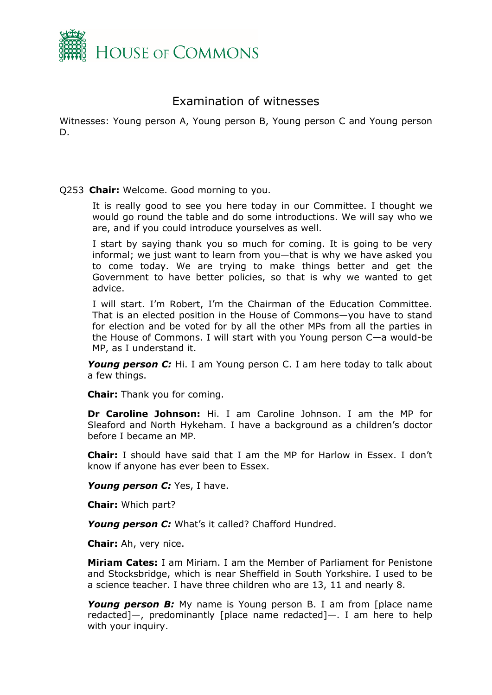

### <span id="page-1-0"></span>Examination of witnesses

Witnesses: Young person A, Young person B, Young person C and Young person D.

#### Q253 **Chair:** Welcome. Good morning to you.

It is really good to see you here today in our Committee. I thought we would go round the table and do some introductions. We will say who we are, and if you could introduce yourselves as well.

I start by saying thank you so much for coming. It is going to be very informal; we just want to learn from you—that is why we have asked you to come today. We are trying to make things better and get the Government to have better policies, so that is why we wanted to get advice.

I will start. I'm Robert, I'm the Chairman of the Education Committee. That is an elected position in the House of Commons—you have to stand for election and be voted for by all the other MPs from all the parties in the House of Commons. I will start with you Young person C—a would-be MP, as I understand it.

*Young person C:* Hi. I am Young person C. I am here today to talk about a few things.

**Chair:** Thank you for coming.

**Dr Caroline Johnson:** Hi. I am Caroline Johnson. I am the MP for Sleaford and North Hykeham. I have a background as a children's doctor before I became an MP.

**Chair:** I should have said that I am the MP for Harlow in Essex. I don't know if anyone has ever been to Essex.

*Young person C:* Yes, I have.

**Chair:** Which part?

*Young person C:* What's it called? Chafford Hundred.

**Chair:** Ah, very nice.

**Miriam Cates:** I am Miriam. I am the Member of Parliament for Penistone and Stocksbridge, which is near Sheffield in South Yorkshire. I used to be a science teacher. I have three children who are 13, 11 and nearly 8.

*Young person B:* My name is Young person B. I am from [place name redacted]—, predominantly [place name redacted]—. I am here to help with your inquiry.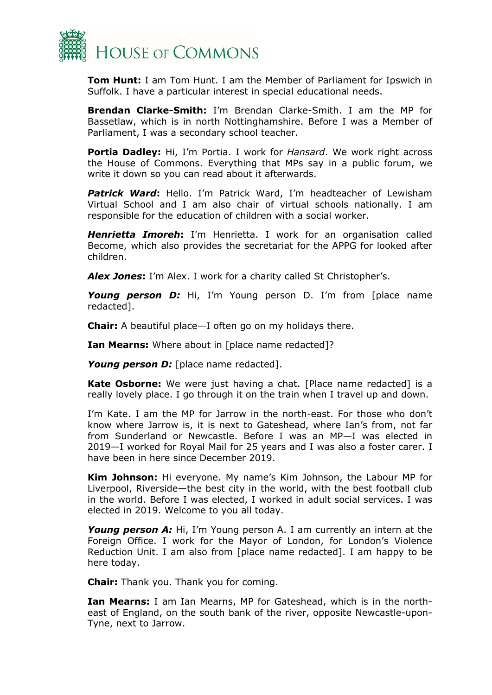

**Tom Hunt:** I am Tom Hunt. I am the Member of Parliament for Ipswich in Suffolk. I have a particular interest in special educational needs.

**Brendan Clarke-Smith:** I'm Brendan Clarke-Smith. I am the MP for Bassetlaw, which is in north Nottinghamshire. Before I was a Member of Parliament, I was a secondary school teacher.

**Portia Dadley:** Hi, I'm Portia. I work for *Hansard*. We work right across the House of Commons. Everything that MPs say in a public forum, we write it down so you can read about it afterwards.

*Patrick Ward***:** Hello. I'm Patrick Ward, I'm headteacher of Lewisham Virtual School and I am also chair of virtual schools nationally. I am responsible for the education of children with a social worker.

*Henrietta Imoreh***:** I'm Henrietta. I work for an organisation called Become, which also provides the secretariat for the APPG for looked after children.

*Alex Jones***:** I'm Alex. I work for a charity called St Christopher's.

*Young person D:* Hi, I'm Young person D. I'm from [place name redacted].

**Chair:** A beautiful place—I often go on my holidays there.

**Ian Mearns:** Where about in [place name redacted]?

*Young person D:* [place name redacted].

**Kate Osborne:** We were just having a chat. [Place name redacted] is a really lovely place. I go through it on the train when I travel up and down.

I'm Kate. I am the MP for Jarrow in the north-east. For those who don't know where Jarrow is, it is next to Gateshead, where Ian's from, not far from Sunderland or Newcastle. Before I was an MP—I was elected in 2019—I worked for Royal Mail for 25 years and I was also a foster carer. I have been in here since December 2019.

**Kim Johnson:** Hi everyone. My name's Kim Johnson, the Labour MP for Liverpool, Riverside—the best city in the world, with the best football club in the world. Before I was elected, I worked in adult social services. I was elected in 2019. Welcome to you all today.

*Young person A:* Hi, I'm Young person A. I am currently an intern at the Foreign Office. I work for the Mayor of London, for London's Violence Reduction Unit. I am also from [place name redacted]. I am happy to be here today.

**Chair:** Thank you. Thank you for coming.

**Ian Mearns:** I am Ian Mearns, MP for Gateshead, which is in the northeast of England, on the south bank of the river, opposite Newcastle-upon-Tyne, next to Jarrow.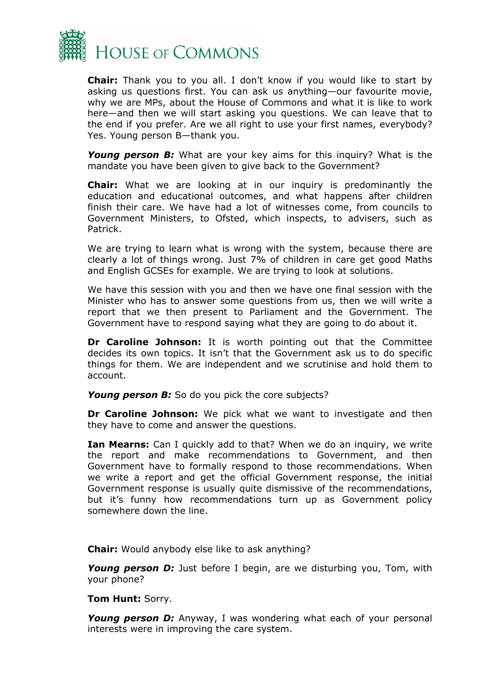

**Chair:** Thank you to you all. I don't know if you would like to start by asking us questions first. You can ask us anything—our favourite movie, why we are MPs, about the House of Commons and what it is like to work here—and then we will start asking you questions. We can leave that to the end if you prefer. Are we all right to use your first names, everybody? Yes. Young person B—thank you.

*Young person B:* What are your key aims for this inquiry? What is the mandate you have been given to give back to the Government?

**Chair:** What we are looking at in our inquiry is predominantly the education and educational outcomes, and what happens after children finish their care. We have had a lot of witnesses come, from councils to Government Ministers, to Ofsted, which inspects, to advisers, such as Patrick.

We are trying to learn what is wrong with the system, because there are clearly a lot of things wrong. Just 7% of children in care get good Maths and English GCSEs for example. We are trying to look at solutions.

We have this session with you and then we have one final session with the Minister who has to answer some questions from us, then we will write a report that we then present to Parliament and the Government. The Government have to respond saying what they are going to do about it.

**Dr Caroline Johnson:** It is worth pointing out that the Committee decides its own topics. It isn't that the Government ask us to do specific things for them. We are independent and we scrutinise and hold them to account.

*Young person B:* So do you pick the core subjects?

**Dr Caroline Johnson:** We pick what we want to investigate and then they have to come and answer the questions.

**Ian Mearns:** Can I quickly add to that? When we do an inquiry, we write the report and make recommendations to Government, and then Government have to formally respond to those recommendations. When we write a report and get the official Government response, the initial Government response is usually quite dismissive of the recommendations, but it's funny how recommendations turn up as Government policy somewhere down the line.

**Chair:** Would anybody else like to ask anything?

*Young person D:* Just before I begin, are we disturbing you, Tom, with your phone?

**Tom Hunt:** Sorry.

**Young person D:** Anyway, I was wondering what each of your personal interests were in improving the care system.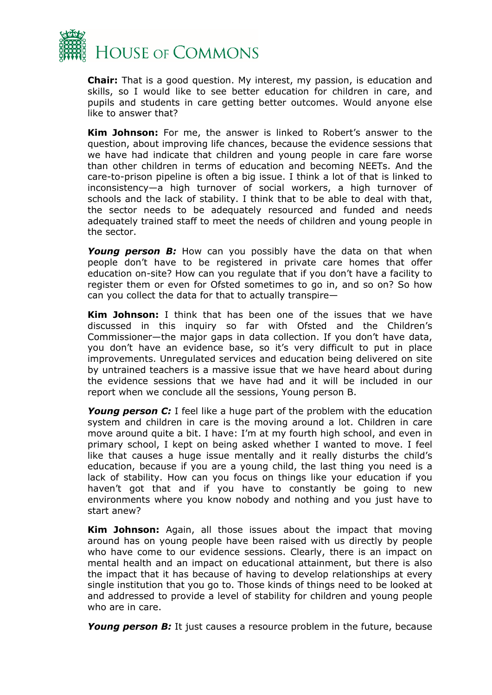

**Chair:** That is a good question. My interest, my passion, is education and skills, so I would like to see better education for children in care, and pupils and students in care getting better outcomes. Would anyone else like to answer that?

**Kim Johnson:** For me, the answer is linked to Robert's answer to the question, about improving life chances, because the evidence sessions that we have had indicate that children and young people in care fare worse than other children in terms of education and becoming NEETs. And the care-to-prison pipeline is often a big issue. I think a lot of that is linked to inconsistency—a high turnover of social workers, a high turnover of schools and the lack of stability. I think that to be able to deal with that, the sector needs to be adequately resourced and funded and needs adequately trained staff to meet the needs of children and young people in the sector.

**Young person B:** How can you possibly have the data on that when people don't have to be registered in private care homes that offer education on-site? How can you regulate that if you don't have a facility to register them or even for Ofsted sometimes to go in, and so on? So how can you collect the data for that to actually transpire—

**Kim Johnson:** I think that has been one of the issues that we have discussed in this inquiry so far with Ofsted and the Children's Commissioner—the major gaps in data collection. If you don't have data, you don't have an evidence base, so it's very difficult to put in place improvements. Unregulated services and education being delivered on site by untrained teachers is a massive issue that we have heard about during the evidence sessions that we have had and it will be included in our report when we conclude all the sessions, Young person B.

**Young person C:** I feel like a huge part of the problem with the education system and children in care is the moving around a lot. Children in care move around quite a bit. I have: I'm at my fourth high school, and even in primary school, I kept on being asked whether I wanted to move. I feel like that causes a huge issue mentally and it really disturbs the child's education, because if you are a young child, the last thing you need is a lack of stability. How can you focus on things like your education if you haven't got that and if you have to constantly be going to new environments where you know nobody and nothing and you just have to start anew?

**Kim Johnson:** Again, all those issues about the impact that moving around has on young people have been raised with us directly by people who have come to our evidence sessions. Clearly, there is an impact on mental health and an impact on educational attainment, but there is also the impact that it has because of having to develop relationships at every single institution that you go to. Those kinds of things need to be looked at and addressed to provide a level of stability for children and young people who are in care.

*Young person B:* It just causes a resource problem in the future, because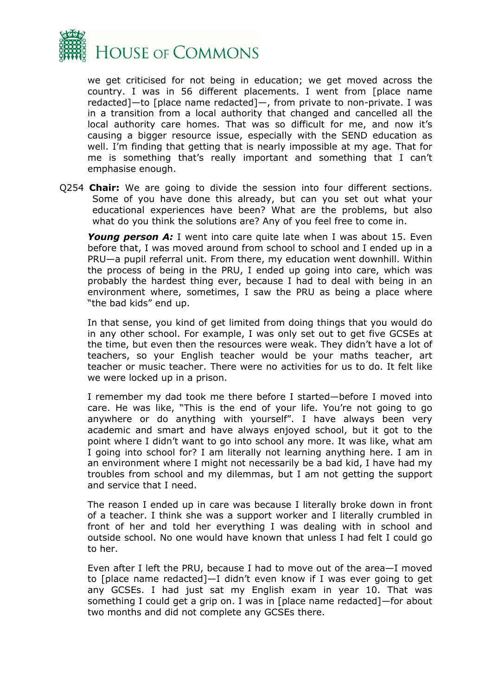

we get criticised for not being in education; we get moved across the country. I was in 56 different placements. I went from [place name redacted]—to [place name redacted]—, from private to non-private. I was in a transition from a local authority that changed and cancelled all the local authority care homes. That was so difficult for me, and now it's causing a bigger resource issue, especially with the SEND education as well. I'm finding that getting that is nearly impossible at my age. That for me is something that's really important and something that I can't emphasise enough.

Q254 **Chair:** We are going to divide the session into four different sections. Some of you have done this already, but can you set out what your educational experiences have been? What are the problems, but also what do you think the solutions are? Any of you feel free to come in.

*Young person A:* I went into care quite late when I was about 15. Even before that, I was moved around from school to school and I ended up in a PRU—a pupil referral unit. From there, my education went downhill. Within the process of being in the PRU, I ended up going into care, which was probably the hardest thing ever, because I had to deal with being in an environment where, sometimes, I saw the PRU as being a place where "the bad kids" end up.

In that sense, you kind of get limited from doing things that you would do in any other school. For example, I was only set out to get five GCSEs at the time, but even then the resources were weak. They didn't have a lot of teachers, so your English teacher would be your maths teacher, art teacher or music teacher. There were no activities for us to do. It felt like we were locked up in a prison.

I remember my dad took me there before I started—before I moved into care. He was like, "This is the end of your life. You're not going to go anywhere or do anything with yourself". I have always been very academic and smart and have always enjoyed school, but it got to the point where I didn't want to go into school any more. It was like, what am I going into school for? I am literally not learning anything here. I am in an environment where I might not necessarily be a bad kid, I have had my troubles from school and my dilemmas, but I am not getting the support and service that I need.

The reason I ended up in care was because I literally broke down in front of a teacher. I think she was a support worker and I literally crumbled in front of her and told her everything I was dealing with in school and outside school. No one would have known that unless I had felt I could go to her.

Even after I left the PRU, because I had to move out of the area—I moved to [place name redacted]—I didn't even know if I was ever going to get any GCSEs. I had just sat my English exam in year 10. That was something I could get a grip on. I was in [place name redacted]—for about two months and did not complete any GCSEs there.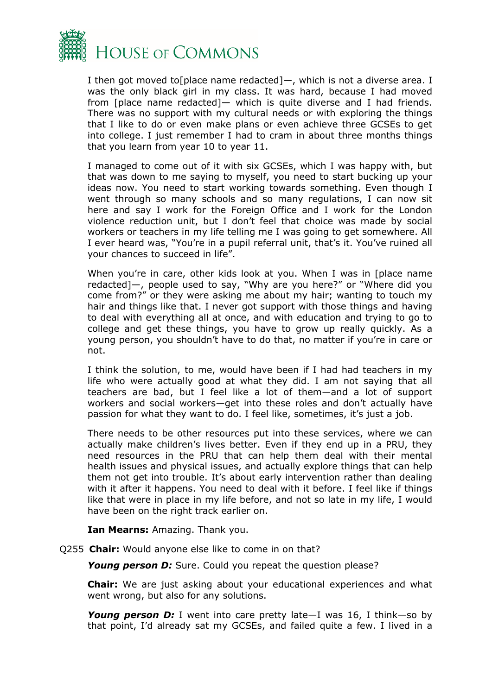

I then got moved to [place name redacted]—, which is not a diverse area. I was the only black girl in my class. It was hard, because I had moved from [place name redacted]— which is quite diverse and I had friends. There was no support with my cultural needs or with exploring the things that I like to do or even make plans or even achieve three GCSEs to get into college. I just remember I had to cram in about three months things that you learn from year 10 to year 11.

I managed to come out of it with six GCSEs, which I was happy with, but that was down to me saying to myself, you need to start bucking up your ideas now. You need to start working towards something. Even though I went through so many schools and so many regulations, I can now sit here and say I work for the Foreign Office and I work for the London violence reduction unit, but I don't feel that choice was made by social workers or teachers in my life telling me I was going to get somewhere. All I ever heard was, "You're in a pupil referral unit, that's it. You've ruined all your chances to succeed in life".

When you're in care, other kids look at you. When I was in [place name redacted]—, people used to say, "Why are you here?" or "Where did you come from?" or they were asking me about my hair; wanting to touch my hair and things like that. I never got support with those things and having to deal with everything all at once, and with education and trying to go to college and get these things, you have to grow up really quickly. As a young person, you shouldn't have to do that, no matter if you're in care or not.

I think the solution, to me, would have been if I had had teachers in my life who were actually good at what they did. I am not saying that all teachers are bad, but I feel like a lot of them—and a lot of support workers and social workers—get into these roles and don't actually have passion for what they want to do. I feel like, sometimes, it's just a job.

There needs to be other resources put into these services, where we can actually make children's lives better. Even if they end up in a PRU, they need resources in the PRU that can help them deal with their mental health issues and physical issues, and actually explore things that can help them not get into trouble. It's about early intervention rather than dealing with it after it happens. You need to deal with it before. I feel like if things like that were in place in my life before, and not so late in my life, I would have been on the right track earlier on.

**Ian Mearns:** Amazing. Thank you.

Q255 **Chair:** Would anyone else like to come in on that?

*Young person D:* Sure. Could you repeat the question please?

**Chair:** We are just asking about your educational experiences and what went wrong, but also for any solutions.

*Young person D:* I went into care pretty late—I was 16, I think—so by that point, I'd already sat my GCSEs, and failed quite a few. I lived in a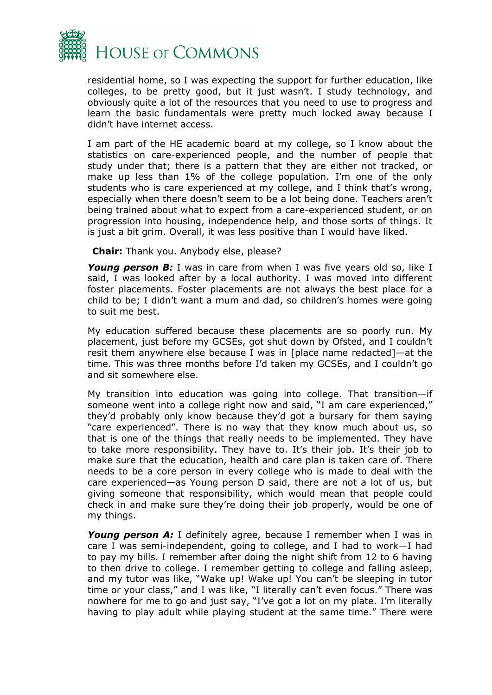

residential home, so I was expecting the support for further education, like colleges, to be pretty good, but it just wasn't. I study technology, and obviously quite a lot of the resources that you need to use to progress and learn the basic fundamentals were pretty much locked away because I didn't have internet access.

I am part of the HE academic board at my college, so I know about the statistics on care-experienced people, and the number of people that study under that; there is a pattern that they are either not tracked, or make up less than 1% of the college population. I'm one of the only students who is care experienced at my college, and I think that's wrong, especially when there doesn't seem to be a lot being done. Teachers aren't being trained about what to expect from a care-experienced student, or on progression into housing, independence help, and those sorts of things. It is just a bit grim. Overall, it was less positive than I would have liked.

**Chair:** Thank you. Anybody else, please?

**Young person B:** I was in care from when I was five years old so, like I said, I was looked after by a local authority. I was moved into different foster placements. Foster placements are not always the best place for a child to be; I didn't want a mum and dad, so children's homes were going to suit me best.

My education suffered because these placements are so poorly run. My placement, just before my GCSEs, got shut down by Ofsted, and I couldn't resit them anywhere else because I was in [place name redacted]—at the time. This was three months before I'd taken my GCSEs, and I couldn't go and sit somewhere else.

My transition into education was going into college. That transition—if someone went into a college right now and said, "I am care experienced," they'd probably only know because they'd got a bursary for them saying "care experienced". There is no way that they know much about us, so that is one of the things that really needs to be implemented. They have to take more responsibility. They have to. It's their job. It's their job to make sure that the education, health and care plan is taken care of. There needs to be a core person in every college who is made to deal with the care experienced—as Young person D said, there are not a lot of us, but giving someone that responsibility, which would mean that people could check in and make sure they're doing their job properly, would be one of my things.

*Young person A:* I definitely agree, because I remember when I was in care I was semi-independent, going to college, and I had to work—I had to pay my bills. I remember after doing the night shift from 12 to 6 having to then drive to college. I remember getting to college and falling asleep, and my tutor was like, "Wake up! Wake up! You can't be sleeping in tutor time or your class," and I was like, "I literally can't even focus." There was nowhere for me to go and just say, "I've got a lot on my plate. I'm literally having to play adult while playing student at the same time." There were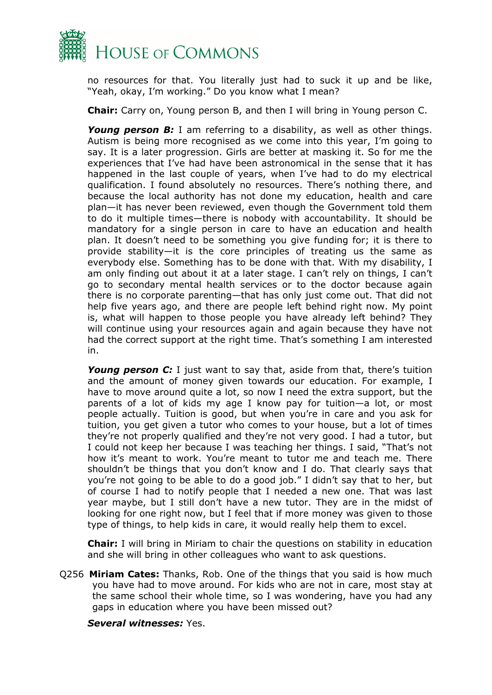

no resources for that. You literally just had to suck it up and be like, "Yeah, okay, I'm working." Do you know what I mean?

**Chair:** Carry on, Young person B, and then I will bring in Young person C.

*Young person B:* I am referring to a disability, as well as other things. Autism is being more recognised as we come into this year, I'm going to say. It is a later progression. Girls are better at masking it. So for me the experiences that I've had have been astronomical in the sense that it has happened in the last couple of years, when I've had to do my electrical qualification. I found absolutely no resources. There's nothing there, and because the local authority has not done my education, health and care plan—it has never been reviewed, even though the Government told them to do it multiple times—there is nobody with accountability. It should be mandatory for a single person in care to have an education and health plan. It doesn't need to be something you give funding for; it is there to provide stability—it is the core principles of treating us the same as everybody else. Something has to be done with that. With my disability, I am only finding out about it at a later stage. I can't rely on things, I can't go to secondary mental health services or to the doctor because again there is no corporate parenting—that has only just come out. That did not help five years ago, and there are people left behind right now. My point is, what will happen to those people you have already left behind? They will continue using your resources again and again because they have not had the correct support at the right time. That's something I am interested in.

*Young person C:* I just want to say that, aside from that, there's tuition and the amount of money given towards our education. For example, I have to move around quite a lot, so now I need the extra support, but the parents of a lot of kids my age I know pay for tuition—a lot, or most people actually. Tuition is good, but when you're in care and you ask for tuition, you get given a tutor who comes to your house, but a lot of times they're not properly qualified and they're not very good. I had a tutor, but I could not keep her because I was teaching her things. I said, "That's not how it's meant to work. You're meant to tutor me and teach me. There shouldn't be things that you don't know and I do. That clearly says that you're not going to be able to do a good job." I didn't say that to her, but of course I had to notify people that I needed a new one. That was last year maybe, but I still don't have a new tutor. They are in the midst of looking for one right now, but I feel that if more money was given to those type of things, to help kids in care, it would really help them to excel.

**Chair:** I will bring in Miriam to chair the questions on stability in education and she will bring in other colleagues who want to ask questions.

Q256 **Miriam Cates:** Thanks, Rob. One of the things that you said is how much you have had to move around. For kids who are not in care, most stay at the same school their whole time, so I was wondering, have you had any gaps in education where you have been missed out?

*Several witnesses:* Yes.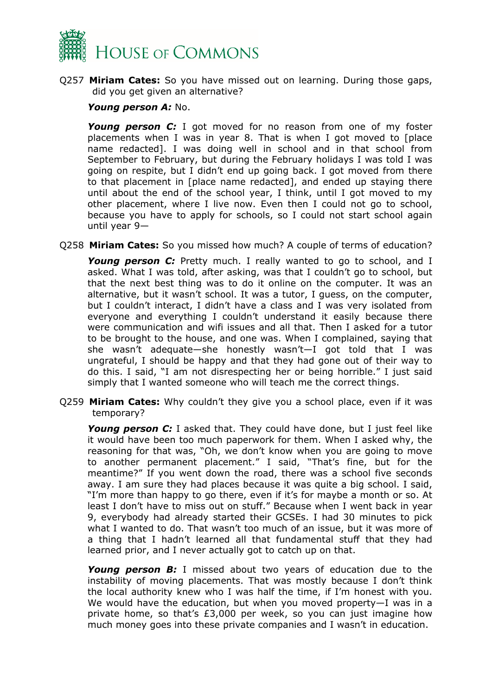

Q257 **Miriam Cates:** So you have missed out on learning. During those gaps, did you get given an alternative?

#### *Young person A:* No.

*Young person C:* I got moved for no reason from one of my foster placements when I was in year 8. That is when I got moved to [place name redacted]. I was doing well in school and in that school from September to February, but during the February holidays I was told I was going on respite, but I didn't end up going back. I got moved from there to that placement in [place name redacted], and ended up staying there until about the end of the school year, I think, until I got moved to my other placement, where I live now. Even then I could not go to school, because you have to apply for schools, so I could not start school again until year 9—

Q258 **Miriam Cates:** So you missed how much? A couple of terms of education?

*Young person C:* Pretty much. I really wanted to go to school, and I asked. What I was told, after asking, was that I couldn't go to school, but that the next best thing was to do it online on the computer. It was an alternative, but it wasn't school. It was a tutor, I guess, on the computer, but I couldn't interact, I didn't have a class and I was very isolated from everyone and everything I couldn't understand it easily because there were communication and wifi issues and all that. Then I asked for a tutor to be brought to the house, and one was. When I complained, saying that she wasn't adequate—she honestly wasn't—I got told that I was ungrateful, I should be happy and that they had gone out of their way to do this. I said, "I am not disrespecting her or being horrible." I just said simply that I wanted someone who will teach me the correct things.

Q259 **Miriam Cates:** Why couldn't they give you a school place, even if it was temporary?

*Young person C:* I asked that. They could have done, but I just feel like it would have been too much paperwork for them. When I asked why, the reasoning for that was, "Oh, we don't know when you are going to move to another permanent placement." I said, "That's fine, but for the meantime?" If you went down the road, there was a school five seconds away. I am sure they had places because it was quite a big school. I said, "I'm more than happy to go there, even if it's for maybe a month or so. At least I don't have to miss out on stuff." Because when I went back in year 9, everybody had already started their GCSEs. I had 30 minutes to pick what I wanted to do. That wasn't too much of an issue, but it was more of a thing that I hadn't learned all that fundamental stuff that they had learned prior, and I never actually got to catch up on that.

*Young person B:* I missed about two years of education due to the instability of moving placements. That was mostly because I don't think the local authority knew who I was half the time, if I'm honest with you. We would have the education, but when you moved property—I was in a private home, so that's £3,000 per week, so you can just imagine how much money goes into these private companies and I wasn't in education.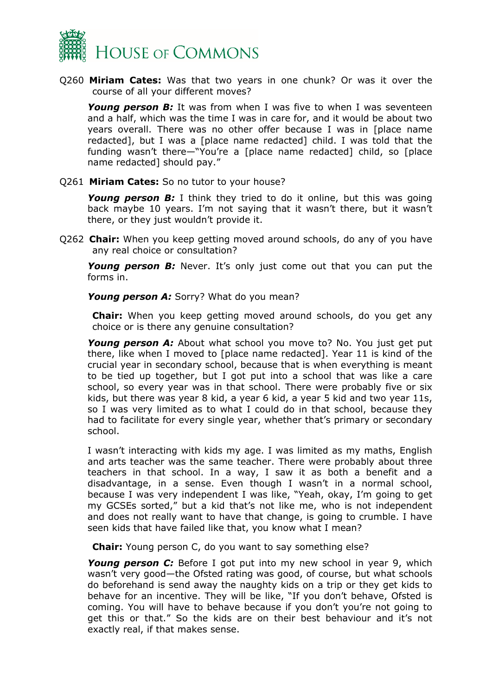

Q260 **Miriam Cates:** Was that two years in one chunk? Or was it over the course of all your different moves?

*Young person B:* It was from when I was five to when I was seventeen and a half, which was the time I was in care for, and it would be about two years overall. There was no other offer because I was in [place name redacted], but I was a [place name redacted] child. I was told that the funding wasn't there—"You're a [place name redacted] child, so [place name redacted] should pay."

Q261 **Miriam Cates:** So no tutor to your house?

*Young person B:* I think they tried to do it online, but this was going back maybe 10 years. I'm not saying that it wasn't there, but it wasn't there, or they just wouldn't provide it.

Q262 **Chair:** When you keep getting moved around schools, do any of you have any real choice or consultation?

*Young person B:* Never. It's only just come out that you can put the forms in.

*Young person A:* Sorry? What do you mean?

**Chair:** When you keep getting moved around schools, do you get any choice or is there any genuine consultation?

*Young person A:* About what school you move to? No. You just get put there, like when I moved to [place name redacted]. Year 11 is kind of the crucial year in secondary school, because that is when everything is meant to be tied up together, but I got put into a school that was like a care school, so every year was in that school. There were probably five or six kids, but there was year 8 kid, a year 6 kid, a year 5 kid and two year 11s, so I was very limited as to what I could do in that school, because they had to facilitate for every single year, whether that's primary or secondary school.

I wasn't interacting with kids my age. I was limited as my maths, English and arts teacher was the same teacher. There were probably about three teachers in that school. In a way, I saw it as both a benefit and a disadvantage, in a sense. Even though I wasn't in a normal school, because I was very independent I was like, "Yeah, okay, I'm going to get my GCSEs sorted," but a kid that's not like me, who is not independent and does not really want to have that change, is going to crumble. I have seen kids that have failed like that, you know what I mean?

**Chair:** Young person C, do you want to say something else?

*Young person C:* Before I got put into my new school in year 9, which wasn't very good—the Ofsted rating was good, of course, but what schools do beforehand is send away the naughty kids on a trip or they get kids to behave for an incentive. They will be like, "If you don't behave, Ofsted is coming. You will have to behave because if you don't you're not going to get this or that." So the kids are on their best behaviour and it's not exactly real, if that makes sense.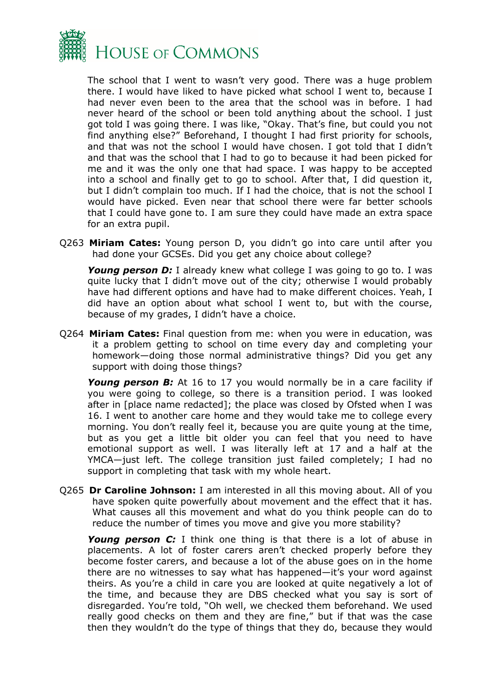

The school that I went to wasn't very good. There was a huge problem there. I would have liked to have picked what school I went to, because I had never even been to the area that the school was in before. I had never heard of the school or been told anything about the school. I just got told I was going there. I was like, "Okay. That's fine, but could you not find anything else?" Beforehand, I thought I had first priority for schools, and that was not the school I would have chosen. I got told that I didn't and that was the school that I had to go to because it had been picked for me and it was the only one that had space. I was happy to be accepted into a school and finally get to go to school. After that, I did question it, but I didn't complain too much. If I had the choice, that is not the school I would have picked. Even near that school there were far better schools that I could have gone to. I am sure they could have made an extra space for an extra pupil.

Q263 **Miriam Cates:** Young person D, you didn't go into care until after you had done your GCSEs. Did you get any choice about college?

*Young person D:* I already knew what college I was going to go to. I was quite lucky that I didn't move out of the city; otherwise I would probably have had different options and have had to make different choices. Yeah, I did have an option about what school I went to, but with the course, because of my grades, I didn't have a choice.

Q264 **Miriam Cates:** Final question from me: when you were in education, was it a problem getting to school on time every day and completing your homework—doing those normal administrative things? Did you get any support with doing those things?

*Young person B:* At 16 to 17 you would normally be in a care facility if you were going to college, so there is a transition period. I was looked after in [place name redacted]; the place was closed by Ofsted when I was 16. I went to another care home and they would take me to college every morning. You don't really feel it, because you are quite young at the time, but as you get a little bit older you can feel that you need to have emotional support as well. I was literally left at 17 and a half at the YMCA—just left. The college transition just failed completely; I had no support in completing that task with my whole heart.

Q265 **Dr Caroline Johnson:** I am interested in all this moving about. All of you have spoken quite powerfully about movement and the effect that it has. What causes all this movement and what do you think people can do to reduce the number of times you move and give you more stability?

*Young person C:* I think one thing is that there is a lot of abuse in placements. A lot of foster carers aren't checked properly before they become foster carers, and because a lot of the abuse goes on in the home there are no witnesses to say what has happened—it's your word against theirs. As you're a child in care you are looked at quite negatively a lot of the time, and because they are DBS checked what you say is sort of disregarded. You're told, "Oh well, we checked them beforehand. We used really good checks on them and they are fine," but if that was the case then they wouldn't do the type of things that they do, because they would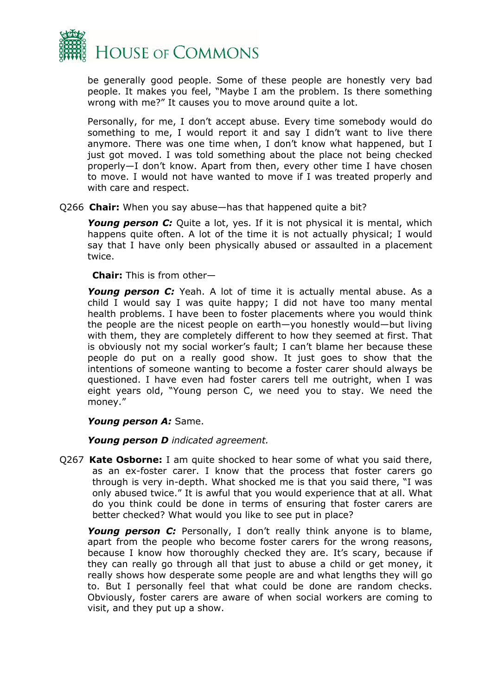

be generally good people. Some of these people are honestly very bad people. It makes you feel, "Maybe I am the problem. Is there something wrong with me?" It causes you to move around quite a lot.

Personally, for me, I don't accept abuse. Every time somebody would do something to me, I would report it and say I didn't want to live there anymore. There was one time when, I don't know what happened, but I just got moved. I was told something about the place not being checked properly—I don't know. Apart from then, every other time I have chosen to move. I would not have wanted to move if I was treated properly and with care and respect.

#### Q266 **Chair:** When you say abuse—has that happened quite a bit?

Young person C: Quite a lot, yes. If it is not physical it is mental, which happens quite often. A lot of the time it is not actually physical; I would say that I have only been physically abused or assaulted in a placement twice.

**Chair:** This is from other—

*Young person C:* Yeah. A lot of time it is actually mental abuse. As a child I would say I was quite happy; I did not have too many mental health problems. I have been to foster placements where you would think the people are the nicest people on earth—you honestly would—but living with them, they are completely different to how they seemed at first. That is obviously not my social worker's fault; I can't blame her because these people do put on a really good show. It just goes to show that the intentions of someone wanting to become a foster carer should always be questioned. I have even had foster carers tell me outright, when I was eight years old, "Young person C, we need you to stay. We need the money."

#### *Young person A:* Same.

*Young person D indicated agreement.*

Q267 **Kate Osborne:** I am quite shocked to hear some of what you said there, as an ex-foster carer. I know that the process that foster carers go through is very in-depth. What shocked me is that you said there, "I was only abused twice." It is awful that you would experience that at all. What do you think could be done in terms of ensuring that foster carers are better checked? What would you like to see put in place?

*Young person C:* Personally, I don't really think anyone is to blame, apart from the people who become foster carers for the wrong reasons, because I know how thoroughly checked they are. It's scary, because if they can really go through all that just to abuse a child or get money, it really shows how desperate some people are and what lengths they will go to. But I personally feel that what could be done are random checks. Obviously, foster carers are aware of when social workers are coming to visit, and they put up a show.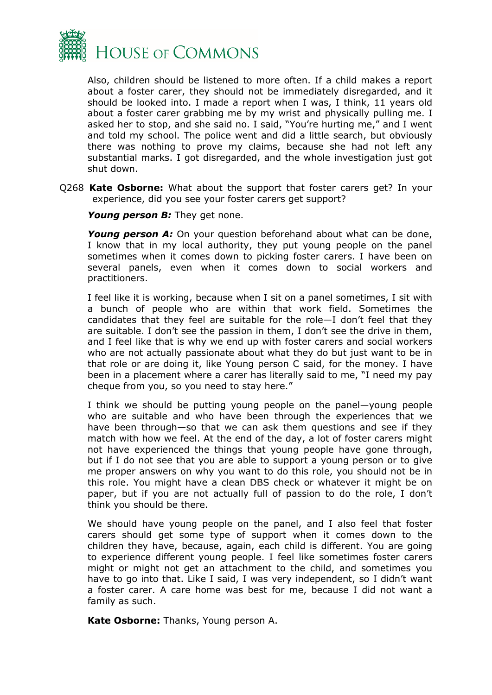

Also, children should be listened to more often. If a child makes a report about a foster carer, they should not be immediately disregarded, and it should be looked into. I made a report when I was, I think, 11 years old about a foster carer grabbing me by my wrist and physically pulling me. I asked her to stop, and she said no. I said, "You're hurting me," and I went and told my school. The police went and did a little search, but obviously there was nothing to prove my claims, because she had not left any substantial marks. I got disregarded, and the whole investigation just got shut down.

Q268 **Kate Osborne:** What about the support that foster carers get? In your experience, did you see your foster carers get support?

*Young person B:* They get none.

*Young person A:* On your question beforehand about what can be done, I know that in my local authority, they put young people on the panel sometimes when it comes down to picking foster carers. I have been on several panels, even when it comes down to social workers and practitioners.

I feel like it is working, because when I sit on a panel sometimes, I sit with a bunch of people who are within that work field. Sometimes the candidates that they feel are suitable for the role—I don't feel that they are suitable. I don't see the passion in them, I don't see the drive in them, and I feel like that is why we end up with foster carers and social workers who are not actually passionate about what they do but just want to be in that role or are doing it, like Young person C said, for the money. I have been in a placement where a carer has literally said to me, "I need my pay cheque from you, so you need to stay here."

I think we should be putting young people on the panel—young people who are suitable and who have been through the experiences that we have been through—so that we can ask them questions and see if they match with how we feel. At the end of the day, a lot of foster carers might not have experienced the things that young people have gone through, but if I do not see that you are able to support a young person or to give me proper answers on why you want to do this role, you should not be in this role. You might have a clean DBS check or whatever it might be on paper, but if you are not actually full of passion to do the role, I don't think you should be there.

We should have young people on the panel, and I also feel that foster carers should get some type of support when it comes down to the children they have, because, again, each child is different. You are going to experience different young people. I feel like sometimes foster carers might or might not get an attachment to the child, and sometimes you have to go into that. Like I said, I was very independent, so I didn't want a foster carer. A care home was best for me, because I did not want a family as such.

**Kate Osborne:** Thanks, Young person A.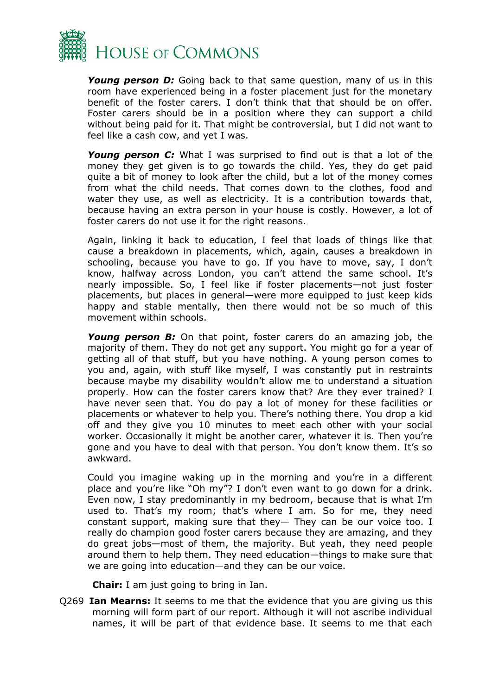

*Young person D:* Going back to that same question, many of us in this room have experienced being in a foster placement just for the monetary benefit of the foster carers. I don't think that that should be on offer. Foster carers should be in a position where they can support a child without being paid for it. That might be controversial, but I did not want to feel like a cash cow, and yet I was.

*Young person C:* What I was surprised to find out is that a lot of the money they get given is to go towards the child. Yes, they do get paid quite a bit of money to look after the child, but a lot of the money comes from what the child needs. That comes down to the clothes, food and water they use, as well as electricity. It is a contribution towards that, because having an extra person in your house is costly. However, a lot of foster carers do not use it for the right reasons.

Again, linking it back to education, I feel that loads of things like that cause a breakdown in placements, which, again, causes a breakdown in schooling, because you have to go. If you have to move, say, I don't know, halfway across London, you can't attend the same school. It's nearly impossible. So, I feel like if foster placements—not just foster placements, but places in general—were more equipped to just keep kids happy and stable mentally, then there would not be so much of this movement within schools.

*Young person B:* On that point, foster carers do an amazing job, the majority of them. They do not get any support. You might go for a year of getting all of that stuff, but you have nothing. A young person comes to you and, again, with stuff like myself, I was constantly put in restraints because maybe my disability wouldn't allow me to understand a situation properly. How can the foster carers know that? Are they ever trained? I have never seen that. You do pay a lot of money for these facilities or placements or whatever to help you. There's nothing there. You drop a kid off and they give you 10 minutes to meet each other with your social worker. Occasionally it might be another carer, whatever it is. Then you're gone and you have to deal with that person. You don't know them. It's so awkward.

Could you imagine waking up in the morning and you're in a different place and you're like "Oh my"? I don't even want to go down for a drink. Even now, I stay predominantly in my bedroom, because that is what I'm used to. That's my room; that's where I am. So for me, they need constant support, making sure that they— They can be our voice too. I really do champion good foster carers because they are amazing, and they do great jobs—most of them, the majority. But yeah, they need people around them to help them. They need education—things to make sure that we are going into education—and they can be our voice.

**Chair:** I am just going to bring in Ian.

Q269 **Ian Mearns:** It seems to me that the evidence that you are giving us this morning will form part of our report. Although it will not ascribe individual names, it will be part of that evidence base. It seems to me that each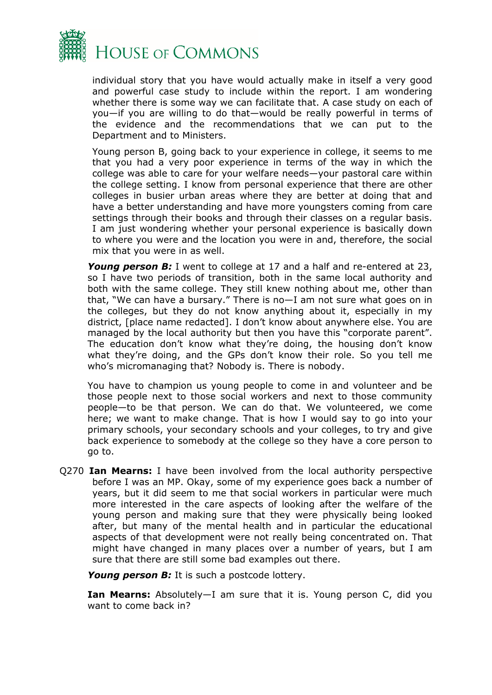

individual story that you have would actually make in itself a very good and powerful case study to include within the report. I am wondering whether there is some way we can facilitate that. A case study on each of you—if you are willing to do that—would be really powerful in terms of the evidence and the recommendations that we can put to the Department and to Ministers.

Young person B, going back to your experience in college, it seems to me that you had a very poor experience in terms of the way in which the college was able to care for your welfare needs—your pastoral care within the college setting. I know from personal experience that there are other colleges in busier urban areas where they are better at doing that and have a better understanding and have more youngsters coming from care settings through their books and through their classes on a regular basis. I am just wondering whether your personal experience is basically down to where you were and the location you were in and, therefore, the social mix that you were in as well.

*Young person B:* I went to college at 17 and a half and re-entered at 23, so I have two periods of transition, both in the same local authority and both with the same college. They still knew nothing about me, other than that, "We can have a bursary." There is no—I am not sure what goes on in the colleges, but they do not know anything about it, especially in my district, [place name redacted]. I don't know about anywhere else. You are managed by the local authority but then you have this "corporate parent". The education don't know what they're doing, the housing don't know what they're doing, and the GPs don't know their role. So you tell me who's micromanaging that? Nobody is. There is nobody.

You have to champion us young people to come in and volunteer and be those people next to those social workers and next to those community people—to be that person. We can do that. We volunteered, we come here; we want to make change. That is how I would say to go into your primary schools, your secondary schools and your colleges, to try and give back experience to somebody at the college so they have a core person to go to.

Q270 **Ian Mearns:** I have been involved from the local authority perspective before I was an MP. Okay, some of my experience goes back a number of years, but it did seem to me that social workers in particular were much more interested in the care aspects of looking after the welfare of the young person and making sure that they were physically being looked after, but many of the mental health and in particular the educational aspects of that development were not really being concentrated on. That might have changed in many places over a number of years, but I am sure that there are still some bad examples out there.

*Young person B:* It is such a postcode lottery.

**Ian Mearns:** Absolutely—I am sure that it is. Young person C, did you want to come back in?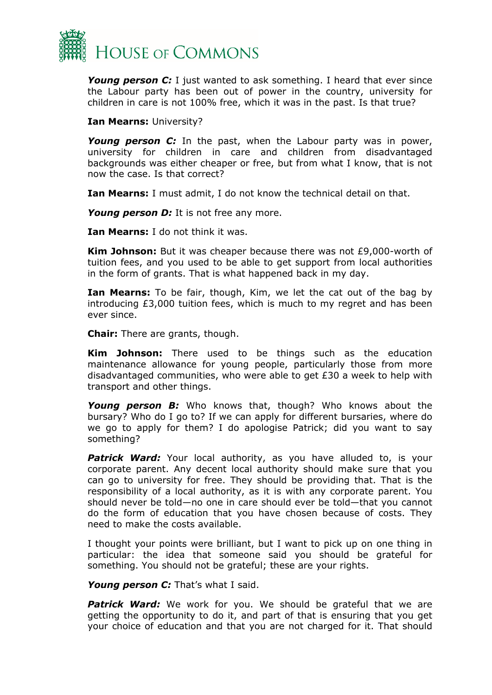

*Young person C:* I just wanted to ask something. I heard that ever since the Labour party has been out of power in the country, university for children in care is not 100% free, which it was in the past. Is that true?

**Ian Mearns:** University?

*Young person C:* In the past, when the Labour party was in power, university for children in care and children from disadvantaged backgrounds was either cheaper or free, but from what I know, that is not now the case. Is that correct?

**Ian Mearns:** I must admit, I do not know the technical detail on that.

*Young person D:* It is not free any more.

**Ian Mearns:** I do not think it was.

**Kim Johnson:** But it was cheaper because there was not £9,000-worth of tuition fees, and you used to be able to get support from local authorities in the form of grants. That is what happened back in my day.

**Ian Mearns:** To be fair, though, Kim, we let the cat out of the bag by introducing  $£3,000$  tuition fees, which is much to my regret and has been ever since.

**Chair:** There are grants, though.

**Kim Johnson:** There used to be things such as the education maintenance allowance for young people, particularly those from more disadvantaged communities, who were able to get £30 a week to help with transport and other things.

*Young person B:* Who knows that, though? Who knows about the bursary? Who do I go to? If we can apply for different bursaries, where do we go to apply for them? I do apologise Patrick; did you want to say something?

**Patrick Ward:** Your local authority, as you have alluded to, is your corporate parent. Any decent local authority should make sure that you can go to university for free. They should be providing that. That is the responsibility of a local authority, as it is with any corporate parent. You should never be told—no one in care should ever be told—that you cannot do the form of education that you have chosen because of costs. They need to make the costs available.

I thought your points were brilliant, but I want to pick up on one thing in particular: the idea that someone said you should be grateful for something. You should not be grateful; these are your rights.

*Young person C:* That's what I said.

*Patrick Ward:* We work for you. We should be grateful that we are getting the opportunity to do it, and part of that is ensuring that you get your choice of education and that you are not charged for it. That should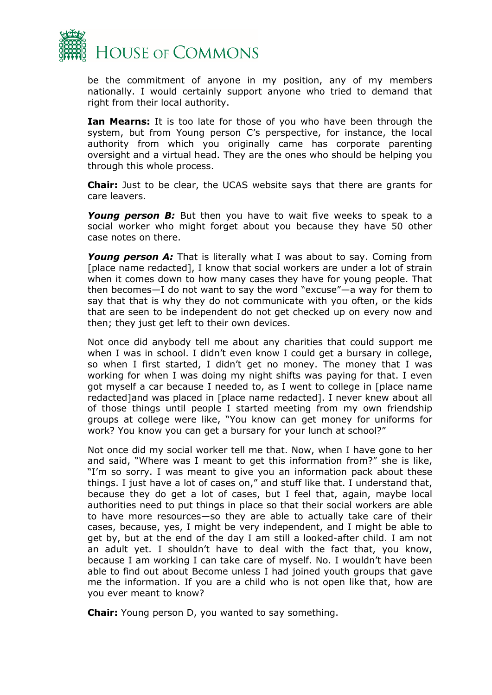

be the commitment of anyone in my position, any of my members nationally. I would certainly support anyone who tried to demand that right from their local authority.

**Ian Mearns:** It is too late for those of you who have been through the system, but from Young person C's perspective, for instance, the local authority from which you originally came has corporate parenting oversight and a virtual head. They are the ones who should be helping you through this whole process.

**Chair:** Just to be clear, the UCAS website says that there are grants for care leavers.

*Young person B:* But then you have to wait five weeks to speak to a social worker who might forget about you because they have 50 other case notes on there.

*Young person A:* That is literally what I was about to say. Coming from [place name redacted], I know that social workers are under a lot of strain when it comes down to how many cases they have for young people. That then becomes—I do not want to say the word "excuse"—a way for them to say that that is why they do not communicate with you often, or the kids that are seen to be independent do not get checked up on every now and then; they just get left to their own devices.

Not once did anybody tell me about any charities that could support me when I was in school. I didn't even know I could get a bursary in college, so when I first started, I didn't get no money. The money that I was working for when I was doing my night shifts was paying for that. I even got myself a car because I needed to, as I went to college in [place name redacted]and was placed in [place name redacted]. I never knew about all of those things until people I started meeting from my own friendship groups at college were like, "You know can get money for uniforms for work? You know you can get a bursary for your lunch at school?"

Not once did my social worker tell me that. Now, when I have gone to her and said, "Where was I meant to get this information from?" she is like, "I'm so sorry. I was meant to give you an information pack about these things. I just have a lot of cases on," and stuff like that. I understand that, because they do get a lot of cases, but I feel that, again, maybe local authorities need to put things in place so that their social workers are able to have more resources—so they are able to actually take care of their cases, because, yes, I might be very independent, and I might be able to get by, but at the end of the day I am still a looked-after child. I am not an adult yet. I shouldn't have to deal with the fact that, you know, because I am working I can take care of myself. No. I wouldn't have been able to find out about Become unless I had joined youth groups that gave me the information. If you are a child who is not open like that, how are you ever meant to know?

**Chair:** Young person D, you wanted to say something.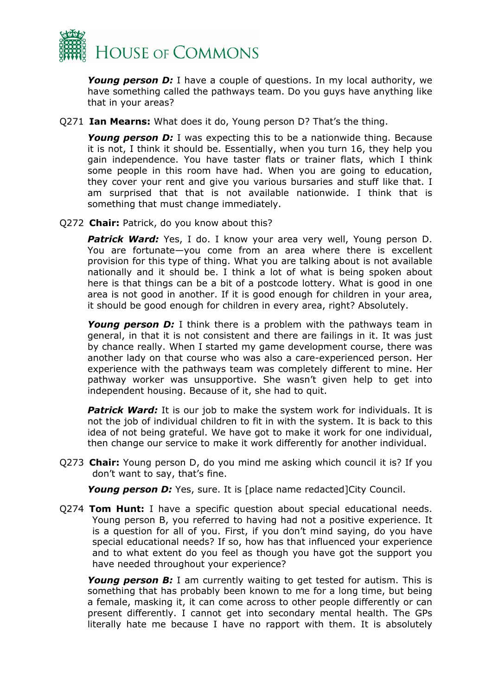

*Young person D:* I have a couple of questions. In my local authority, we have something called the pathways team. Do you guys have anything like that in your areas?

Q271 **Ian Mearns:** What does it do, Young person D? That's the thing.

**Young person D:** I was expecting this to be a nationwide thing. Because it is not, I think it should be. Essentially, when you turn 16, they help you gain independence. You have taster flats or trainer flats, which I think some people in this room have had. When you are going to education, they cover your rent and give you various bursaries and stuff like that. I am surprised that that is not available nationwide. I think that is something that must change immediately.

Q272 **Chair:** Patrick, do you know about this?

*Patrick Ward:* Yes, I do. I know your area very well, Young person D. You are fortunate—you come from an area where there is excellent provision for this type of thing. What you are talking about is not available nationally and it should be. I think a lot of what is being spoken about here is that things can be a bit of a postcode lottery. What is good in one area is not good in another. If it is good enough for children in your area, it should be good enough for children in every area, right? Absolutely.

**Young person D:** I think there is a problem with the pathways team in general, in that it is not consistent and there are failings in it. It was just by chance really. When I started my game development course, there was another lady on that course who was also a care-experienced person. Her experience with the pathways team was completely different to mine. Her pathway worker was unsupportive. She wasn't given help to get into independent housing. Because of it, she had to quit.

**Patrick Ward:** It is our job to make the system work for individuals. It is not the job of individual children to fit in with the system. It is back to this idea of not being grateful. We have got to make it work for one individual, then change our service to make it work differently for another individual.

Q273 **Chair:** Young person D, do you mind me asking which council it is? If you don't want to say, that's fine.

*Young person D:* Yes, sure. It is [place name redacted]City Council.

Q274 **Tom Hunt:** I have a specific question about special educational needs. Young person B, you referred to having had not a positive experience. It is a question for all of you. First, if you don't mind saying, do you have special educational needs? If so, how has that influenced your experience and to what extent do you feel as though you have got the support you have needed throughout your experience?

*Young person B:* I am currently waiting to get tested for autism. This is something that has probably been known to me for a long time, but being a female, masking it, it can come across to other people differently or can present differently. I cannot get into secondary mental health. The GPs literally hate me because I have no rapport with them. It is absolutely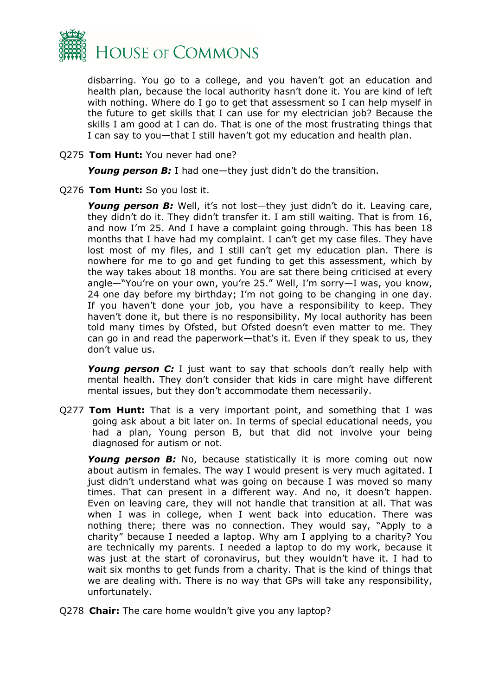

disbarring. You go to a college, and you haven't got an education and health plan, because the local authority hasn't done it. You are kind of left with nothing. Where do I go to get that assessment so I can help myself in the future to get skills that I can use for my electrician job? Because the skills I am good at I can do. That is one of the most frustrating things that I can say to you—that I still haven't got my education and health plan.

#### Q275 **Tom Hunt:** You never had one?

*Young person B:* I had one—they just didn't do the transition.

#### Q276 **Tom Hunt:** So you lost it.

*Young person B:* Well, it's not lost—they just didn't do it. Leaving care, they didn't do it. They didn't transfer it. I am still waiting. That is from 16, and now I'm 25. And I have a complaint going through. This has been 18 months that I have had my complaint. I can't get my case files. They have lost most of my files, and I still can't get my education plan. There is nowhere for me to go and get funding to get this assessment, which by the way takes about 18 months. You are sat there being criticised at every angle—"You're on your own, you're 25." Well, I'm sorry—I was, you know, 24 one day before my birthday; I'm not going to be changing in one day. If you haven't done your job, you have a responsibility to keep. They haven't done it, but there is no responsibility. My local authority has been told many times by Ofsted, but Ofsted doesn't even matter to me. They can go in and read the paperwork—that's it. Even if they speak to us, they don't value us.

**Young person C:** I just want to say that schools don't really help with mental health. They don't consider that kids in care might have different mental issues, but they don't accommodate them necessarily.

Q277 **Tom Hunt:** That is a very important point, and something that I was going ask about a bit later on. In terms of special educational needs, you had a plan, Young person B, but that did not involve your being diagnosed for autism or not.

*Young person B:* No, because statistically it is more coming out now about autism in females. The way I would present is very much agitated. I just didn't understand what was going on because I was moved so many times. That can present in a different way. And no, it doesn't happen. Even on leaving care, they will not handle that transition at all. That was when I was in college, when I went back into education. There was nothing there; there was no connection. They would say, "Apply to a charity" because I needed a laptop. Why am I applying to a charity? You are technically my parents. I needed a laptop to do my work, because it was just at the start of coronavirus, but they wouldn't have it. I had to wait six months to get funds from a charity. That is the kind of things that we are dealing with. There is no way that GPs will take any responsibility, unfortunately.

Q278 **Chair:** The care home wouldn't give you any laptop?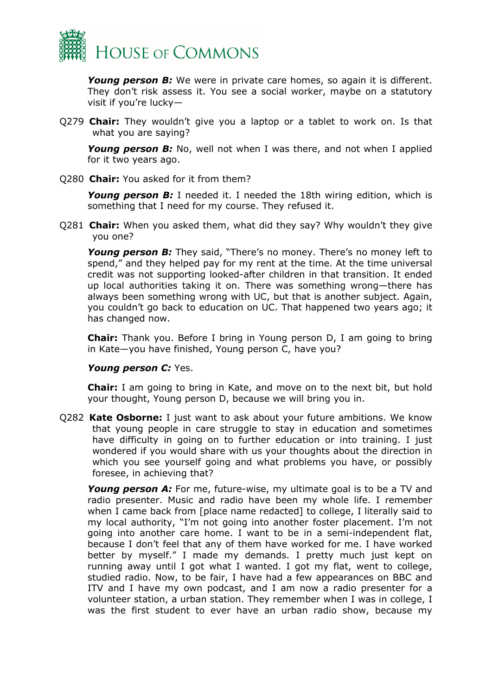

*Young person B:* We were in private care homes, so again it is different. They don't risk assess it. You see a social worker, maybe on a statutory visit if you're lucky—

Q279 **Chair:** They wouldn't give you a laptop or a tablet to work on. Is that what you are saying?

*Young person B:* No, well not when I was there, and not when I applied for it two years ago.

Q280 **Chair:** You asked for it from them?

*Young person B:* I needed it. I needed the 18th wiring edition, which is something that I need for my course. They refused it.

Q281 **Chair:** When you asked them, what did they say? Why wouldn't they give you one?

*Young person B:* They said, "There's no money. There's no money left to spend," and they helped pay for my rent at the time. At the time universal credit was not supporting looked-after children in that transition. It ended up local authorities taking it on. There was something wrong—there has always been something wrong with UC, but that is another subject. Again, you couldn't go back to education on UC. That happened two years ago; it has changed now.

**Chair:** Thank you. Before I bring in Young person D, I am going to bring in Kate—you have finished, Young person C, have you?

#### *Young person C:* Yes.

**Chair:** I am going to bring in Kate, and move on to the next bit, but hold your thought, Young person D, because we will bring you in.

Q282 **Kate Osborne:** I just want to ask about your future ambitions. We know that young people in care struggle to stay in education and sometimes have difficulty in going on to further education or into training. I just wondered if you would share with us your thoughts about the direction in which you see yourself going and what problems you have, or possibly foresee, in achieving that?

*Young person A:* For me, future-wise, my ultimate goal is to be a TV and radio presenter. Music and radio have been my whole life. I remember when I came back from [place name redacted] to college, I literally said to my local authority, "I'm not going into another foster placement. I'm not going into another care home. I want to be in a semi-independent flat, because I don't feel that any of them have worked for me. I have worked better by myself." I made my demands. I pretty much just kept on running away until I got what I wanted. I got my flat, went to college, studied radio. Now, to be fair, I have had a few appearances on BBC and ITV and I have my own podcast, and I am now a radio presenter for a volunteer station, a urban station. They remember when I was in college, I was the first student to ever have an urban radio show, because my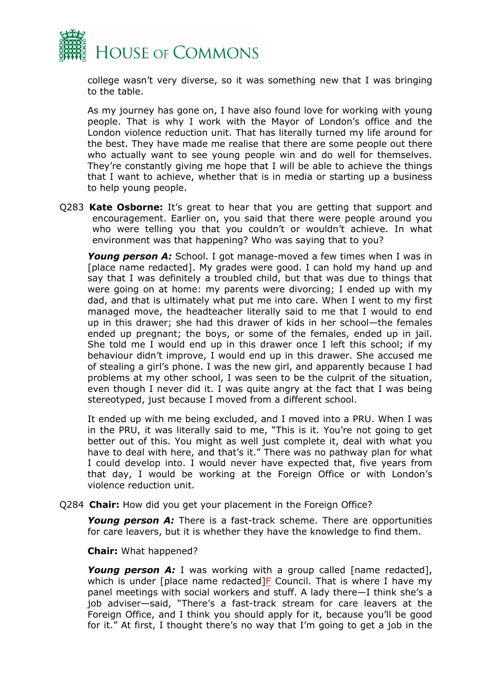

college wasn't very diverse, so it was something new that I was bringing to the table.

As my journey has gone on, I have also found love for working with young people. That is why I work with the Mayor of London's office and the London violence reduction unit. That has literally turned my life around for the best. They have made me realise that there are some people out there who actually want to see young people win and do well for themselves. They're constantly giving me hope that I will be able to achieve the things that I want to achieve, whether that is in media or starting up a business to help young people.

Q283 **Kate Osborne:** It's great to hear that you are getting that support and encouragement. Earlier on, you said that there were people around you who were telling you that you couldn't or wouldn't achieve. In what environment was that happening? Who was saying that to you?

*Young person A:* School. I got manage-moved a few times when I was in [place name redacted]. My grades were good. I can hold my hand up and say that I was definitely a troubled child, but that was due to things that were going on at home: my parents were divorcing; I ended up with my dad, and that is ultimately what put me into care. When I went to my first managed move, the headteacher literally said to me that I would to end up in this drawer; she had this drawer of kids in her school—the females ended up pregnant; the boys, or some of the females, ended up in jail. She told me I would end up in this drawer once I left this school; if my behaviour didn't improve, I would end up in this drawer. She accused me of stealing a girl's phone. I was the new girl, and apparently because I had problems at my other school, I was seen to be the culprit of the situation, even though I never did it. I was quite angry at the fact that I was being stereotyped, just because I moved from a different school.

It ended up with me being excluded, and I moved into a PRU. When I was in the PRU, it was literally said to me, "This is it. You're not going to get better out of this. You might as well just complete it, deal with what you have to deal with here, and that's it." There was no pathway plan for what I could develop into. I would never have expected that, five years from that day, I would be working at the Foreign Office or with London's violence reduction unit.

Q284 **Chair:** How did you get your placement in the Foreign Office?

*Young person A:* There is a fast-track scheme. There are opportunities for care leavers, but it is whether they have the knowledge to find them.

**Chair:** What happened?

*Young person A:* I was working with a group called [name redacted], which is under [place name redacted] $F$  Council. That is where I have my panel meetings with social workers and stuff. A lady there—I think she's a job adviser—said, "There's a fast-track stream for care leavers at the Foreign Office, and I think you should apply for it, because you'll be good for it." At first, I thought there's no way that I'm going to get a job in the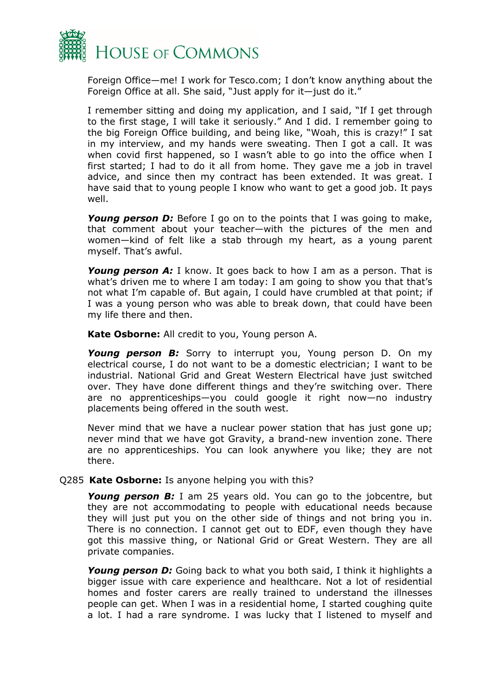

Foreign Office—me! I work for Tesco.com; I don't know anything about the Foreign Office at all. She said, "Just apply for it—just do it."

I remember sitting and doing my application, and I said, "If I get through to the first stage, I will take it seriously." And I did. I remember going to the big Foreign Office building, and being like, "Woah, this is crazy!" I sat in my interview, and my hands were sweating. Then I got a call. It was when covid first happened, so I wasn't able to go into the office when I first started; I had to do it all from home. They gave me a job in travel advice, and since then my contract has been extended. It was great. I have said that to young people I know who want to get a good job. It pays well.

**Young person D:** Before I go on to the points that I was going to make, that comment about your teacher—with the pictures of the men and women—kind of felt like a stab through my heart, as a young parent myself. That's awful.

*Young person A:* I know. It goes back to how I am as a person. That is what's driven me to where I am today: I am going to show you that that's not what I'm capable of. But again, I could have crumbled at that point; if I was a young person who was able to break down, that could have been my life there and then.

**Kate Osborne:** All credit to you, Young person A.

*Young person B:* Sorry to interrupt you, Young person D. On my electrical course, I do not want to be a domestic electrician; I want to be industrial. National Grid and Great Western Electrical have just switched over. They have done different things and they're switching over. There are no apprenticeships—you could google it right now—no industry placements being offered in the south west.

Never mind that we have a nuclear power station that has just gone up; never mind that we have got Gravity, a brand-new invention zone. There are no apprenticeships. You can look anywhere you like; they are not there.

#### Q285 **Kate Osborne:** Is anyone helping you with this?

*Young person B:* I am 25 years old. You can go to the jobcentre, but they are not accommodating to people with educational needs because they will just put you on the other side of things and not bring you in. There is no connection. I cannot get out to EDF, even though they have got this massive thing, or National Grid or Great Western. They are all private companies.

*Young person D:* Going back to what you both said, I think it highlights a bigger issue with care experience and healthcare. Not a lot of residential homes and foster carers are really trained to understand the illnesses people can get. When I was in a residential home, I started coughing quite a lot. I had a rare syndrome. I was lucky that I listened to myself and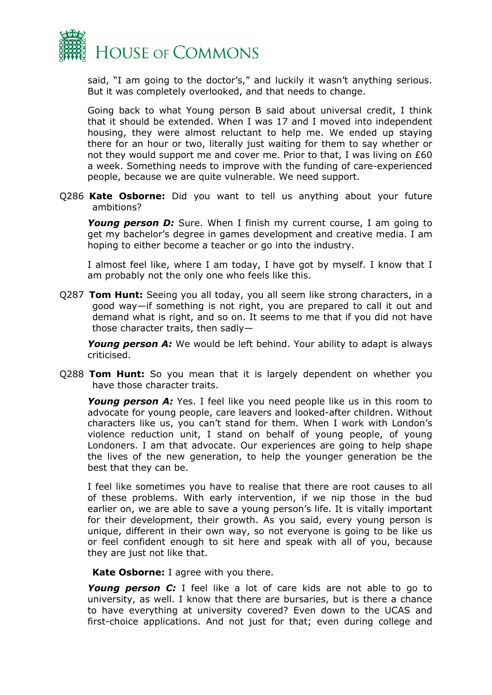

said, "I am going to the doctor's," and luckily it wasn't anything serious. But it was completely overlooked, and that needs to change.

Going back to what Young person B said about universal credit, I think that it should be extended. When I was 17 and I moved into independent housing, they were almost reluctant to help me. We ended up staying there for an hour or two, literally just waiting for them to say whether or not they would support me and cover me. Prior to that, I was living on £60 a week. Something needs to improve with the funding of care-experienced people, because we are quite vulnerable. We need support.

Q286 **Kate Osborne:** Did you want to tell us anything about your future ambitions?

**Young person D:** Sure. When I finish my current course, I am going to get my bachelor's degree in games development and creative media. I am hoping to either become a teacher or go into the industry.

I almost feel like, where I am today, I have got by myself. I know that I am probably not the only one who feels like this.

Q287 **Tom Hunt:** Seeing you all today, you all seem like strong characters, in a good way—if something is not right, you are prepared to call it out and demand what is right, and so on. It seems to me that if you did not have those character traits, then sadly—

*Young person A:* We would be left behind. Your ability to adapt is always criticised.

Q288 **Tom Hunt:** So you mean that it is largely dependent on whether you have those character traits.

**Young person A:** Yes. I feel like you need people like us in this room to advocate for young people, care leavers and looked-after children. Without characters like us, you can't stand for them. When I work with London's violence reduction unit, I stand on behalf of young people, of young Londoners. I am that advocate. Our experiences are going to help shape the lives of the new generation, to help the younger generation be the best that they can be.

I feel like sometimes you have to realise that there are root causes to all of these problems. With early intervention, if we nip those in the bud earlier on, we are able to save a young person's life. It is vitally important for their development, their growth. As you said, every young person is unique, different in their own way, so not everyone is going to be like us or feel confident enough to sit here and speak with all of you, because they are just not like that.

**Kate Osborne:** I agree with you there.

*Young person C:* I feel like a lot of care kids are not able to go to university, as well. I know that there are bursaries, but is there a chance to have everything at university covered? Even down to the UCAS and first-choice applications. And not just for that; even during college and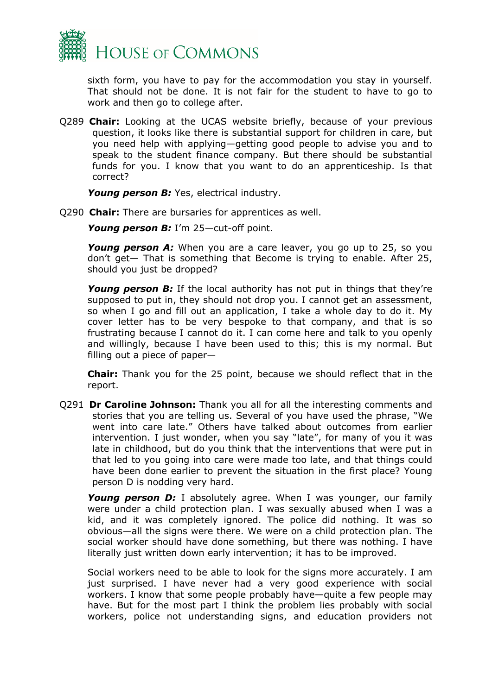

sixth form, you have to pay for the accommodation you stay in yourself. That should not be done. It is not fair for the student to have to go to work and then go to college after.

Q289 **Chair:** Looking at the UCAS website briefly, because of your previous question, it looks like there is substantial support for children in care, but you need help with applying—getting good people to advise you and to speak to the student finance company. But there should be substantial funds for you. I know that you want to do an apprenticeship. Is that correct?

*Young person B:* Yes, electrical industry.

Q290 **Chair:** There are bursaries for apprentices as well.

*Young person B:* I'm 25—cut-off point.

*Young person A:* When you are a care leaver, you go up to 25, so you don't get— That is something that Become is trying to enable. After 25, should you just be dropped?

*Young person B:* If the local authority has not put in things that they're supposed to put in, they should not drop you. I cannot get an assessment, so when I go and fill out an application, I take a whole day to do it. My cover letter has to be very bespoke to that company, and that is so frustrating because I cannot do it. I can come here and talk to you openly and willingly, because I have been used to this; this is my normal. But filling out a piece of paper—

**Chair:** Thank you for the 25 point, because we should reflect that in the report.

Q291 **Dr Caroline Johnson:** Thank you all for all the interesting comments and stories that you are telling us. Several of you have used the phrase, "We went into care late." Others have talked about outcomes from earlier intervention. I just wonder, when you say "late", for many of you it was late in childhood, but do you think that the interventions that were put in that led to you going into care were made too late, and that things could have been done earlier to prevent the situation in the first place? Young person D is nodding very hard.

*Young person D:* I absolutely agree. When I was younger, our family were under a child protection plan. I was sexually abused when I was a kid, and it was completely ignored. The police did nothing. It was so obvious—all the signs were there. We were on a child protection plan. The social worker should have done something, but there was nothing. I have literally just written down early intervention; it has to be improved.

Social workers need to be able to look for the signs more accurately. I am just surprised. I have never had a very good experience with social workers. I know that some people probably have—quite a few people may have. But for the most part I think the problem lies probably with social workers, police not understanding signs, and education providers not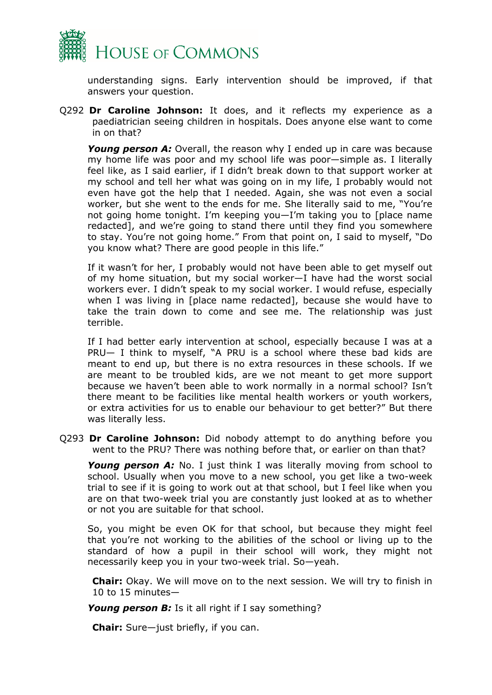

understanding signs. Early intervention should be improved, if that answers your question.

Q292 **Dr Caroline Johnson:** It does, and it reflects my experience as a paediatrician seeing children in hospitals. Does anyone else want to come in on that?

**Young person A:** Overall, the reason why I ended up in care was because my home life was poor and my school life was poor—simple as. I literally feel like, as I said earlier, if I didn't break down to that support worker at my school and tell her what was going on in my life, I probably would not even have got the help that I needed. Again, she was not even a social worker, but she went to the ends for me. She literally said to me, "You're not going home tonight. I'm keeping you—I'm taking you to [place name redacted], and we're going to stand there until they find you somewhere to stay. You're not going home." From that point on, I said to myself, "Do you know what? There are good people in this life."

If it wasn't for her, I probably would not have been able to get myself out of my home situation, but my social worker—I have had the worst social workers ever. I didn't speak to my social worker. I would refuse, especially when I was living in [place name redacted], because she would have to take the train down to come and see me. The relationship was just terrible.

If I had better early intervention at school, especially because I was at a PRU— I think to myself, "A PRU is a school where these bad kids are meant to end up, but there is no extra resources in these schools. If we are meant to be troubled kids, are we not meant to get more support because we haven't been able to work normally in a normal school? Isn't there meant to be facilities like mental health workers or youth workers, or extra activities for us to enable our behaviour to get better?" But there was literally less.

Q293 **Dr Caroline Johnson:** Did nobody attempt to do anything before you went to the PRU? There was nothing before that, or earlier on than that?

*Young person A:* No. I just think I was literally moving from school to school. Usually when you move to a new school, you get like a two-week trial to see if it is going to work out at that school, but I feel like when you are on that two-week trial you are constantly just looked at as to whether or not you are suitable for that school.

So, you might be even OK for that school, but because they might feel that you're not working to the abilities of the school or living up to the standard of how a pupil in their school will work, they might not necessarily keep you in your two-week trial. So—yeah.

**Chair:** Okay. We will move on to the next session. We will try to finish in 10 to 15 minutes—

*Young person B:* Is it all right if I say something?

**Chair:** Sure—just briefly, if you can.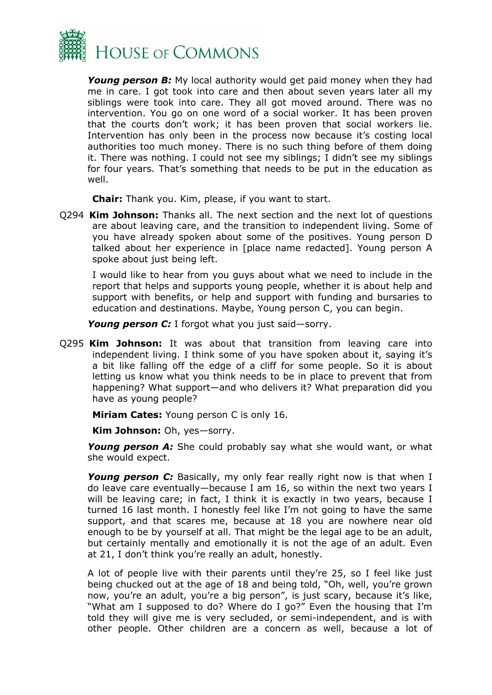

*Young person B:* My local authority would get paid money when they had me in care. I got took into care and then about seven years later all my siblings were took into care. They all got moved around. There was no intervention. You go on one word of a social worker. It has been proven that the courts don't work; it has been proven that social workers lie. Intervention has only been in the process now because it's costing local authorities too much money. There is no such thing before of them doing it. There was nothing. I could not see my siblings; I didn't see my siblings for four years. That's something that needs to be put in the education as well.

**Chair:** Thank you. Kim, please, if you want to start.

Q294 **Kim Johnson:** Thanks all. The next section and the next lot of questions are about leaving care, and the transition to independent living. Some of you have already spoken about some of the positives. Young person D talked about her experience in [place name redacted]. Young person A spoke about just being left.

I would like to hear from you guys about what we need to include in the report that helps and supports young people, whether it is about help and support with benefits, or help and support with funding and bursaries to education and destinations. Maybe, Young person C, you can begin.

*Young person C:* I forgot what you just said—sorry.

Q295 **Kim Johnson:** It was about that transition from leaving care into independent living. I think some of you have spoken about it, saying it's a bit like falling off the edge of a cliff for some people. So it is about letting us know what you think needs to be in place to prevent that from happening? What support—and who delivers it? What preparation did you have as young people?

**Miriam Cates:** Young person C is only 16.

**Kim Johnson:** Oh, yes—sorry.

*Young person A:* She could probably say what she would want, or what she would expect.

**Young person C:** Basically, my only fear really right now is that when I do leave care eventually—because I am 16, so within the next two years I will be leaving care; in fact, I think it is exactly in two years, because I turned 16 last month. I honestly feel like I'm not going to have the same support, and that scares me, because at 18 you are nowhere near old enough to be by yourself at all. That might be the legal age to be an adult, but certainly mentally and emotionally it is not the age of an adult. Even at 21, I don't think you're really an adult, honestly.

A lot of people live with their parents until they're 25, so I feel like just being chucked out at the age of 18 and being told, "Oh, well, you're grown now, you're an adult, you're a big person", is just scary, because it's like, "What am I supposed to do? Where do I go?" Even the housing that I'm told they will give me is very secluded, or semi-independent, and is with other people. Other children are a concern as well, because a lot of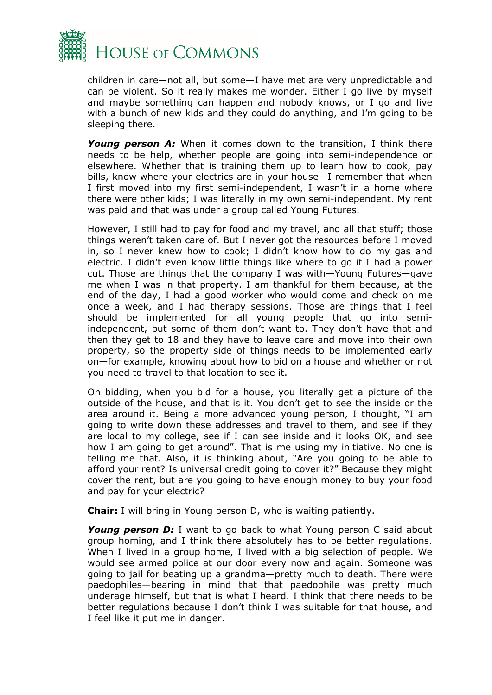

children in care—not all, but some—I have met are very unpredictable and can be violent. So it really makes me wonder. Either I go live by myself and maybe something can happen and nobody knows, or I go and live with a bunch of new kids and they could do anything, and I'm going to be sleeping there.

*Young person A:* When it comes down to the transition, I think there needs to be help, whether people are going into semi-independence or elsewhere. Whether that is training them up to learn how to cook, pay bills, know where your electrics are in your house—I remember that when I first moved into my first semi-independent, I wasn't in a home where there were other kids; I was literally in my own semi-independent. My rent was paid and that was under a group called Young Futures.

However, I still had to pay for food and my travel, and all that stuff; those things weren't taken care of. But I never got the resources before I moved in, so I never knew how to cook; I didn't know how to do my gas and electric. I didn't even know little things like where to go if I had a power cut. Those are things that the company I was with—Young Futures—gave me when I was in that property. I am thankful for them because, at the end of the day, I had a good worker who would come and check on me once a week, and I had therapy sessions. Those are things that I feel should be implemented for all young people that go into semiindependent, but some of them don't want to. They don't have that and then they get to 18 and they have to leave care and move into their own property, so the property side of things needs to be implemented early on—for example, knowing about how to bid on a house and whether or not you need to travel to that location to see it.

On bidding, when you bid for a house, you literally get a picture of the outside of the house, and that is it. You don't get to see the inside or the area around it. Being a more advanced young person, I thought, "I am going to write down these addresses and travel to them, and see if they are local to my college, see if I can see inside and it looks OK, and see how I am going to get around". That is me using my initiative. No one is telling me that. Also, it is thinking about, "Are you going to be able to afford your rent? Is universal credit going to cover it?" Because they might cover the rent, but are you going to have enough money to buy your food and pay for your electric?

**Chair:** I will bring in Young person D, who is waiting patiently.

*Young person D:* I want to go back to what Young person C said about group homing, and I think there absolutely has to be better regulations. When I lived in a group home, I lived with a big selection of people. We would see armed police at our door every now and again. Someone was going to jail for beating up a grandma—pretty much to death. There were paedophiles—bearing in mind that that paedophile was pretty much underage himself, but that is what I heard. I think that there needs to be better regulations because I don't think I was suitable for that house, and I feel like it put me in danger.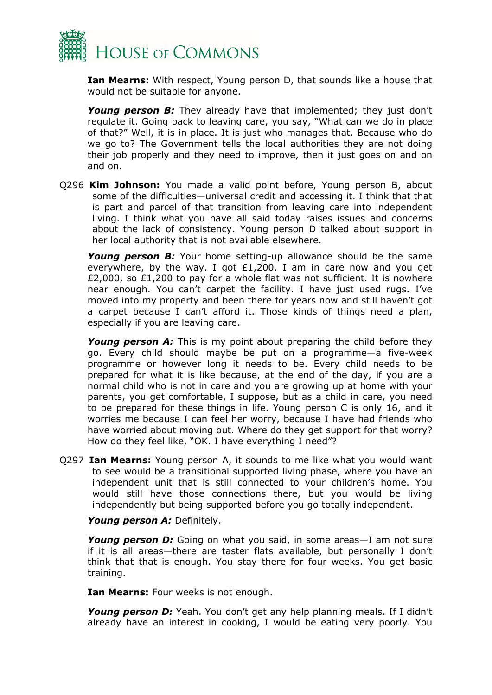

**Ian Mearns:** With respect, Young person D, that sounds like a house that would not be suitable for anyone.

*Young person B:* They already have that implemented; they just don't regulate it. Going back to leaving care, you say, "What can we do in place of that?" Well, it is in place. It is just who manages that. Because who do we go to? The Government tells the local authorities they are not doing their job properly and they need to improve, then it just goes on and on and on.

Q296 **Kim Johnson:** You made a valid point before, Young person B, about some of the difficulties—universal credit and accessing it. I think that that is part and parcel of that transition from leaving care into independent living. I think what you have all said today raises issues and concerns about the lack of consistency. Young person D talked about support in her local authority that is not available elsewhere.

*Young person B:* Your home setting-up allowance should be the same everywhere, by the way. I got £1,200. I am in care now and you get £2,000, so £1,200 to pay for a whole flat was not sufficient. It is nowhere near enough. You can't carpet the facility. I have just used rugs. I've moved into my property and been there for years now and still haven't got a carpet because I can't afford it. Those kinds of things need a plan, especially if you are leaving care.

**Young person A:** This is my point about preparing the child before they go. Every child should maybe be put on a programme—a five-week programme or however long it needs to be. Every child needs to be prepared for what it is like because, at the end of the day, if you are a normal child who is not in care and you are growing up at home with your parents, you get comfortable, I suppose, but as a child in care, you need to be prepared for these things in life. Young person C is only 16, and it worries me because I can feel her worry, because I have had friends who have worried about moving out. Where do they get support for that worry? How do they feel like, "OK. I have everything I need"?

Q297 **Ian Mearns:** Young person A, it sounds to me like what you would want to see would be a transitional supported living phase, where you have an independent unit that is still connected to your children's home. You would still have those connections there, but you would be living independently but being supported before you go totally independent.

*Young person A:* Definitely.

*Young person D:* Going on what you said, in some areas—I am not sure if it is all areas—there are taster flats available, but personally I don't think that that is enough. You stay there for four weeks. You get basic training.

**Ian Mearns:** Four weeks is not enough.

*Young person D:* Yeah. You don't get any help planning meals. If I didn't already have an interest in cooking, I would be eating very poorly. You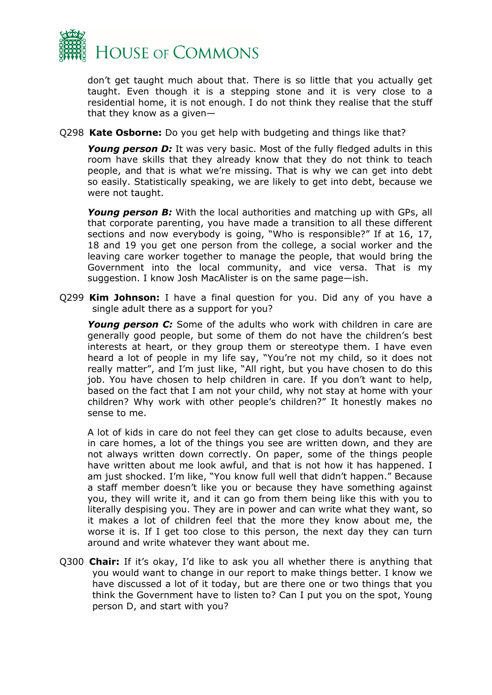

don't get taught much about that. There is so little that you actually get taught. Even though it is a stepping stone and it is very close to a residential home, it is not enough. I do not think they realise that the stuff that they know as a given—

Q298 **Kate Osborne:** Do you get help with budgeting and things like that?

**Young person D:** It was very basic. Most of the fully fledged adults in this room have skills that they already know that they do not think to teach people, and that is what we're missing. That is why we can get into debt so easily. Statistically speaking, we are likely to get into debt, because we were not taught.

**Young person B:** With the local authorities and matching up with GPs, all that corporate parenting, you have made a transition to all these different sections and now everybody is going, "Who is responsible?" If at 16, 17, 18 and 19 you get one person from the college, a social worker and the leaving care worker together to manage the people, that would bring the Government into the local community, and vice versa. That is my suggestion. I know Josh MacAlister is on the same page—ish.

Q299 **Kim Johnson:** I have a final question for you. Did any of you have a single adult there as a support for you?

*Young person C:* Some of the adults who work with children in care are generally good people, but some of them do not have the children's best interests at heart, or they group them or stereotype them. I have even heard a lot of people in my life say, "You're not my child, so it does not really matter", and I'm just like, "All right, but you have chosen to do this job. You have chosen to help children in care. If you don't want to help, based on the fact that I am not your child, why not stay at home with your children? Why work with other people's children?" It honestly makes no sense to me.

A lot of kids in care do not feel they can get close to adults because, even in care homes, a lot of the things you see are written down, and they are not always written down correctly. On paper, some of the things people have written about me look awful, and that is not how it has happened. I am just shocked. I'm like, "You know full well that didn't happen." Because a staff member doesn't like you or because they have something against you, they will write it, and it can go from them being like this with you to literally despising you. They are in power and can write what they want, so it makes a lot of children feel that the more they know about me, the worse it is. If I get too close to this person, the next day they can turn around and write whatever they want about me.

Q300 **Chair:** If it's okay, I'd like to ask you all whether there is anything that you would want to change in our report to make things better. I know we have discussed a lot of it today, but are there one or two things that you think the Government have to listen to? Can I put you on the spot, Young person D, and start with you?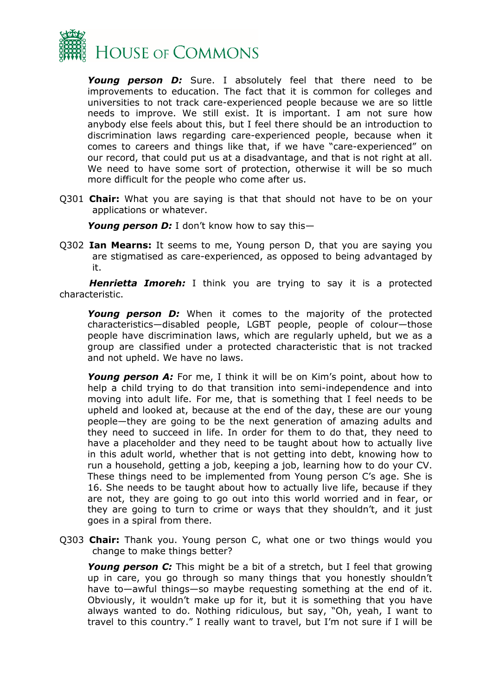

*Young person D:* Sure. I absolutely feel that there need to be improvements to education. The fact that it is common for colleges and universities to not track care-experienced people because we are so little needs to improve. We still exist. It is important. I am not sure how anybody else feels about this, but I feel there should be an introduction to discrimination laws regarding care-experienced people, because when it comes to careers and things like that, if we have "care-experienced" on our record, that could put us at a disadvantage, and that is not right at all. We need to have some sort of protection, otherwise it will be so much more difficult for the people who come after us.

Q301 **Chair:** What you are saying is that that should not have to be on your applications or whatever.

*Young person D:* I don't know how to say this—

Q302 **Ian Mearns:** It seems to me, Young person D, that you are saying you are stigmatised as care-experienced, as opposed to being advantaged by it.

*Henrietta Imoreh:* I think you are trying to say it is a protected characteristic.

*Young person D:* When it comes to the majority of the protected characteristics—disabled people, LGBT people, people of colour—those people have discrimination laws, which are regularly upheld, but we as a group are classified under a protected characteristic that is not tracked and not upheld. We have no laws.

*Young person A:* For me, I think it will be on Kim's point, about how to help a child trying to do that transition into semi-independence and into moving into adult life. For me, that is something that I feel needs to be upheld and looked at, because at the end of the day, these are our young people—they are going to be the next generation of amazing adults and they need to succeed in life. In order for them to do that, they need to have a placeholder and they need to be taught about how to actually live in this adult world, whether that is not getting into debt, knowing how to run a household, getting a job, keeping a job, learning how to do your CV. These things need to be implemented from Young person C's age. She is 16. She needs to be taught about how to actually live life, because if they are not, they are going to go out into this world worried and in fear, or they are going to turn to crime or ways that they shouldn't, and it just goes in a spiral from there.

Q303 **Chair:** Thank you. Young person C, what one or two things would you change to make things better?

*Young person C:* This might be a bit of a stretch, but I feel that growing up in care, you go through so many things that you honestly shouldn't have to—awful things—so maybe requesting something at the end of it. Obviously, it wouldn't make up for it, but it is something that you have always wanted to do. Nothing ridiculous, but say, "Oh, yeah, I want to travel to this country." I really want to travel, but I'm not sure if I will be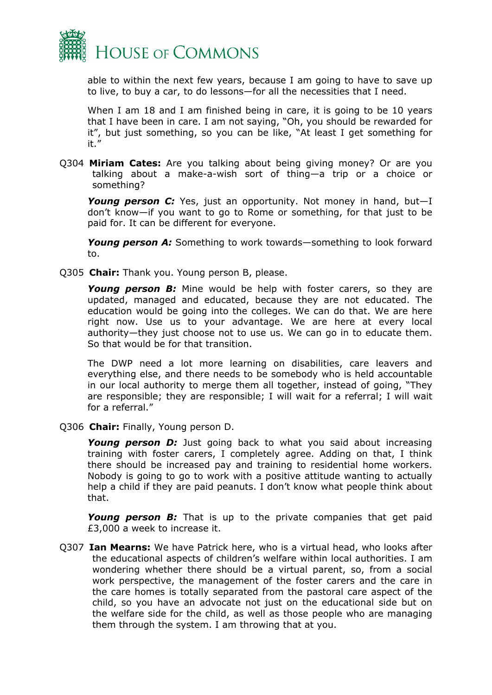

able to within the next few years, because I am going to have to save up to live, to buy a car, to do lessons—for all the necessities that I need.

When I am 18 and I am finished being in care, it is going to be 10 years that I have been in care. I am not saying, "Oh, you should be rewarded for it", but just something, so you can be like, "At least I get something for it."

Q304 **Miriam Cates:** Are you talking about being giving money? Or are you talking about a make-a-wish sort of thing—a trip or a choice or something?

*Young person C:* Yes, just an opportunity. Not money in hand, but—I don't know—if you want to go to Rome or something, for that just to be paid for. It can be different for everyone.

*Young person A:* Something to work towards—something to look forward to.

Q305 **Chair:** Thank you. Young person B, please.

*Young person B:* Mine would be help with foster carers, so they are updated, managed and educated, because they are not educated. The education would be going into the colleges. We can do that. We are here right now. Use us to your advantage. We are here at every local authority—they just choose not to use us. We can go in to educate them. So that would be for that transition.

The DWP need a lot more learning on disabilities, care leavers and everything else, and there needs to be somebody who is held accountable in our local authority to merge them all together, instead of going, "They are responsible; they are responsible; I will wait for a referral; I will wait for a referral."

Q306 **Chair:** Finally, Young person D.

*Young person D:* Just going back to what you said about increasing training with foster carers, I completely agree. Adding on that, I think there should be increased pay and training to residential home workers. Nobody is going to go to work with a positive attitude wanting to actually help a child if they are paid peanuts. I don't know what people think about that.

*Young person B:* That is up to the private companies that get paid £3,000 a week to increase it.

Q307 **Ian Mearns:** We have Patrick here, who is a virtual head, who looks after the educational aspects of children's welfare within local authorities. I am wondering whether there should be a virtual parent, so, from a social work perspective, the management of the foster carers and the care in the care homes is totally separated from the pastoral care aspect of the child, so you have an advocate not just on the educational side but on the welfare side for the child, as well as those people who are managing them through the system. I am throwing that at you.